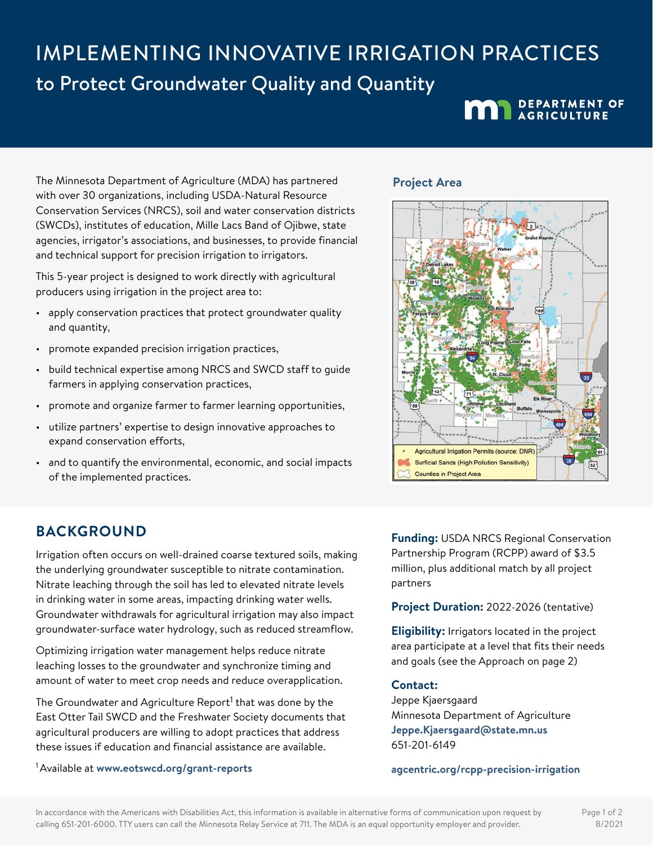# IMPLEMENTING INNOVATIVE IRRIGATION PRACTICES to Protect Groundwater Quality and Quantity

**MAN** DEPARTMENT OF

The Minnesota Department of Agriculture (MDA) has partnered with over 30 organizations, including USDA-Natural Resource Conservation Services (NRCS), soil and water conservation districts (SWCDs), institutes of education, Mille Lacs Band of Ojibwe, state agencies, irrigator's associations, and businesses, to provide financial and technical support for precision irrigation to irrigators.

This 5-year project is designed to work directly with agricultural producers using irrigation in the project area to:

- apply conservation practices that protect groundwater quality and quantity,
- promote expanded precision irrigation practices,
- build technical expertise among NRCS and SWCD staff to guide farmers in applying conservation practices,
- promote and organize farmer to farmer learning opportunities,
- utilize partners' expertise to design innovative approaches to expand conservation efforts,
- and to quantify the environmental, economic, and social impacts of the implemented practices.

## **BACKGROUND**

Irrigation often occurs on well-drained coarse textured soils, making the underlying groundwater susceptible to nitrate contamination. Nitrate leaching through the soil has led to elevated nitrate levels in drinking water in some areas, impacting drinking water wells. Groundwater withdrawals for agricultural irrigation may also impact groundwater-surface water hydrology, such as reduced streamflow.

Optimizing irrigation water management helps reduce nitrate leaching losses to the groundwater and synchronize timing and amount of water to meet crop needs and reduce overapplication.

The Groundwater and Agriculture Report<sup>1</sup> that was done by the East Otter Tail SWCD and the Freshwater Society documents that agricultural producers are willing to adopt practices that address these issues if education and financial assistance are available.

1 Available at **[www.eotswcd.org/grant-reports](http://www.eotswcd.org/grant-reports)**

#### **Project Area**



**Funding:** USDA NRCS Regional Conservation Partnership Program (RCPP) award of \$3.5 million, plus additional match by all project partners

**Project Duration:** 2022-2026 (tentative)

**Eligibility:** Irrigators located in the project area participate at a level that fits their needs and goals (see the Approach on page 2)

#### **Contact:**

Jeppe Kjaersgaard Minnesota Department of Agriculture **[Jeppe.Kjaersgaard@state.mn.us](mailto:Jeppe.Kjaersgaard%40state.mn.us?subject=)** 651-201-6149

**[agcentric.org/rcpp-precision-irrigation](http://agcentric.org/rcpp-precision-irrigation)**